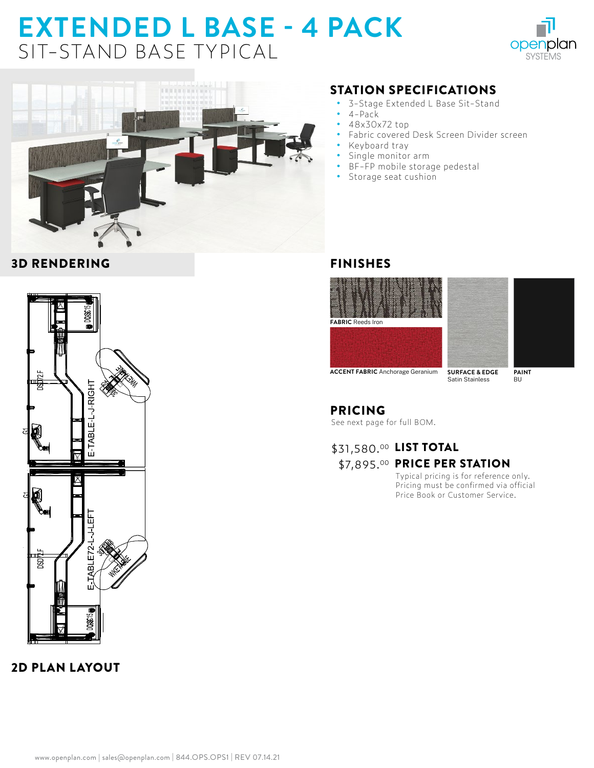# **EXTENDED L BASE - 4 PACK**  SIT-STAND BASE TYPICAL





#### 3D RENDERING



## 2D PLAN LAYOUT

#### STATION SPECIFICATIONS

- **•** 3-Stage Extended L Base Sit-Stand
- **•** 4-Pack
- **•** 48x30x72 top
- **•** Fabric covered Desk Screen Divider screen
- **•** Keyboard tray
- **•** Single monitor arm
- **•** BF-FP mobile storage pedestal
- **•** Storage seat cushion

#### FINISHES





**SURFACE & EDGE** Satin Stainless **ACCENT FABRIC** Anchorage Geranium

**PAINT** BU

# PRICING

See next page for full BOM.

### \$31,580.00 LIST TOTAL \$7,895.00 PRICE PER STATION

Typical pricing is for reference only. Pricing must be confirmed via official Price Book or Customer Service.